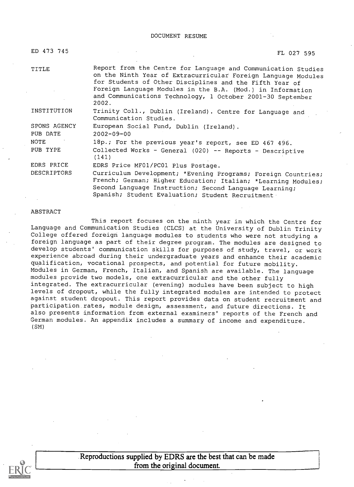DOCUMENT RESUME

| ED 473 745   | FL 027 595                                                                                                                                                                                                                                                                                                                     |
|--------------|--------------------------------------------------------------------------------------------------------------------------------------------------------------------------------------------------------------------------------------------------------------------------------------------------------------------------------|
| TITLE        | Report from the Centre for Language and Communication Studies<br>on the Ninth Year of Extracurricular Foreign Language Modules<br>for Students of Other Disciplines and the Fifth Year of<br>Foreign Language Modules in the B.A. (Mod.) in Information<br>and Communications Technology, 1 October 2001-30 September<br>2002. |
| INSTITUTION  | Trinity Coll., Dublin (Ireland). Centre for Language and<br>Communication Studies.                                                                                                                                                                                                                                             |
| SPONS AGENCY | European Social Fund, Dublin (Ireland).                                                                                                                                                                                                                                                                                        |
| PUB DATE     | $2002 - 09 - 00$                                                                                                                                                                                                                                                                                                               |
| NOTE         | 18p.; For the previous year's report, see ED 467 496.                                                                                                                                                                                                                                                                          |
| PUB TYPE     | Collected Works - General (020) -- Reports - Descriptive<br>(141)                                                                                                                                                                                                                                                              |
| EDRS PRICE   | EDRS Price MF01/PC01 Plus Postage.                                                                                                                                                                                                                                                                                             |
| DESCRIPTORS  | Curriculum Development; *Evening Programs; Foreign Countries;<br>French; German; Higher Education; Italian; *Learning Modules;<br>Second Language Instruction; Second Language Learning;<br>Spanish; Student Evaluation; Student Recruitment                                                                                   |

#### ABSTRACT

This report focuses on the ninth year in which the Centre for Language and Communication Studies (CLCS) at the University of Dublin Trinity<br>College offered foreign language modules to students who were not studying a foreign language as part of their degree program. The modules are designed to develop students' communication skills for purposes of study, travel, or work experience abroad during their undergraduate years and enhance their academic qualification, vocational prospects, and potential for future mobility. Modules in German, French, Italian, and Spanish are available. The language modules provide two models, one extracurricular and the other fully integrated. The extracurricular (evening) modules have been subject to high levels of dropout, while the fully integrated modules are intended to protect against student dropout. This report provides data on student recruitment and participation.rates, module design, assessment, and future directions. It also presents information from external examiners' reports of the French and German modules. An appendix includes a summary of income and expenditure. (SM)



Reproductions supplied by EDRS are the best that can be made from the original document.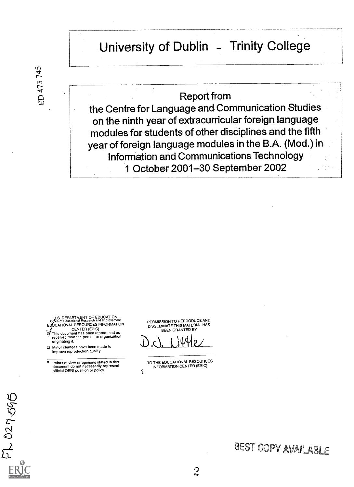# University of Dublin - Trinity College

## Report from

the Centre for Language and Communication Studies on the ninth year of extracurricular foreign language modules for students of other disciplines and the fifth year of foreign language modules in the B.A. (Mod.) in Information and Communications Technology 1 October 2001-30 September 2002

U.S. DEPARTMENT OF EDUCATION office of Educational Research and Improvement<br>ED<sub>A</sub>UCATIONAL RESOURCES INFORMATION CENTER (ERIC) This document has been reproduced as received from the person or organization

originating it. O Minor changes have been made to improve reproduction quality.

FL 027-595

ED 473 745

° Points of view or opinions stated in this document do not necessarily represent official OERI position or policy.

PERMISSION TO REPRODUCE AND DISSEMINATE THIS MATERIAL HAS BEEN GRANTED BY

<u>YYIL</u>

TO THE EDUCATIONAL RESOURCES INFORMATION CENTER (ERIC)

# BEST Copy AVAILABLE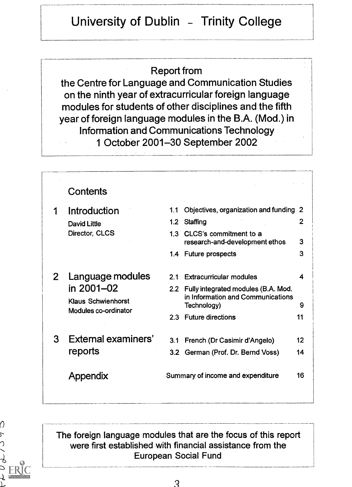# University of Dublin - Trinity College

## Report from

the Centre for Language and Communication Studies on the ninth year of extracurricular foreign language modules for students of other disciplines and the fifth year of foreign language modules in the B.A. (Mod.) in Information and Communications Technology 1 October 2001-30 September 2002

#### **Contents** <sup>1</sup> Introduction David Little Director, CLCS 2 Language modules in 2001-02 Klaus Schwienhorst Modules co-ordinator 3 External examiners' reports Appendix 1.1 Objectives, organization and funding 2 1.2 Staffing 2 1.3 CLCS's commitment to a research-and-development ethos 3 1.4 Future prospects 3 2.1 Extracurricular modules 4 2.2 Fully integrated modules (B.A. Mod. in Information and Communications Technology) 9 2.3 Future directions 11 3.1 French (Dr Casimir d'Angelo) 12 3.2 German (Prof. Dr. Bernd Voss) 14 Summary of income and expenditure 16



The foreign language modules that are the focus of this report were first established with financial assistance from the European Social Fund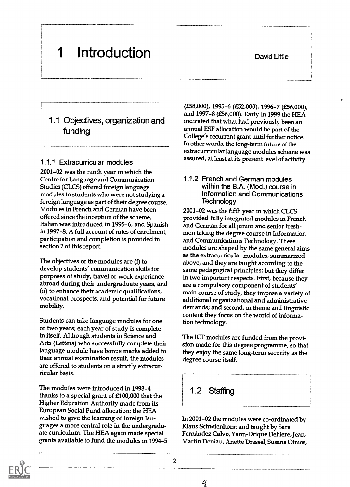#### David Little

62)

# <sup>1</sup> Introduction

## 1.1 Objectives, organization and funding

#### 1.1.1 Extracurricular modules

2001-02 was the ninth year in which the Centre for Language and Communication Studies (CLCS) offered foreign language modules to students who were not studying a foreign language as part of their degree course. Modules in French and German have been offered since the inception of the scheme, Italian was introduced in 1995-6, and Spanish in 1997-8. A full account of rates of enrolment, participation and completion is provided in section 2 of this report.

The objectives of the modules are (i) to develop students' communication skills for purposes of study, travel or work experience abroad during their undergraduate years, and (ii) to enhance their academic qualifications, vocational prospects, and potential for future mobility.

Students can take language modules for one or two years; each year of study is complete in itself. Although students in Science and Arts (Letters) who successfully complete their language module have bonus marks added to their annual examination result, the modules are offered to students on a strictly extracurricular basis.

The modules were introduced in 1993-4 thanks to a special grant of £100,000 that the Higher Education Authority made from its European Social Fund allocation: the HEA wished to give the learning of foreign languages a more central role in the undergraduate curriculum. The HEA again made special grants available to fund the modules in 1994-5

(£58,000), 1995-6 (£52,000), 1996-7 (£56,000), and 1997-8 (£56,000). Early in 1999 the HEA indicated that what had previously been an annual ESF allocation would be part of the College's recurrent grant until further notice. In other words, the long-term future of the extracurricular language modules scheme was assured, at least at its present level of activity.

#### 1.1.2 French and German modules within the B.A. (Mod.) course in Information and Communications **Technology**

2001-02 was the fifth year in which CLCS provided fully integrated modules in French and German for all junior and senior freshmen taking the degree course in Information and Communications Technology. These modules are shaped by the same general aims as the extracurricular modules, summarized above, and they are taught according to the same pedagogical principles; but they differ in two important respects. First, because they are a compulsory component of students' main course of study, they impose a variety of additional organizational and administrative demands; and second, in theme and linguistic content they focus on the world of information technology.

The ICT modules are funded from the provision made for this degree programme, so that they enjoy the same long-term security as the degree course itself.

# 1.2 Staffing

In 2001-02 the modules were co-ordinated by Klaus Schwienhorst and taught by Sara Fernandez Calvo, Yann-Drique Dehiere, Jean-Martin Deniau, Anette Dressel, Susana Ohnos,



 $\frac{\delta}{\Delta}$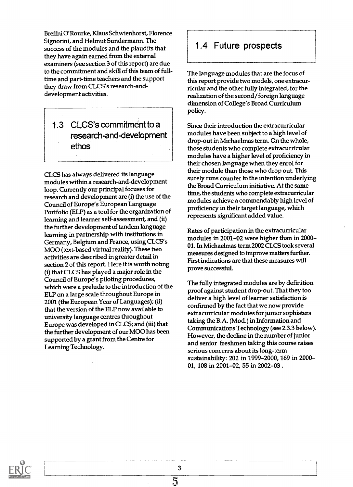Breffni O'Rourke, Klaus Schwienhorst, Florence Signorini, and Helmut Sundermann. The success of the modules and the plaudits that they have again earned from the external examiners (see section 3 of this report) are due to the commitment and skill of this team of fulltime and part-time teachers and the support they draw from CLCS's research-anddevelopment activities.

1.3 CLCS's commitment to a research-and-development ethos

CLCS has always delivered its language modules within a research-and-development loop. Currently our principal focuses for research and development are (i) the use of the Council of Europe's European Language Portfolio (ELP) as a tool for the organization of learning and learner self-assessment, and (ii) the further development of tandem language learning in partnership with institutions in Germany, Belgium and France, using CLCS's MOO (text-based virtual reality). These two activities are described in greater detail in section 2 of this report. Here it is worth noting (i) that CLCS has played a major role in the Council of Europe's piloting procedures, which were a prelude to the introduction of the ELP on a large scale throughout Europe in 2001 (the European Year of Languages); (ii) that the version of the ELP now available to university language centres throughout Europe was developed in CLCS; and (iii) that the further development of our MOO has been supported by a grant from the Centre for Learning Technology.

## 1.4 Future prospects

The language modules that are the focus of this report provide two models, one extracurricular and the other fully integrated, for the realization of the second/ foreign language dimension of College's Broad Curriculum policy.

Since their introduction the extracurricular modules have been subject to a high level of drop-out in Michaelmas term. On the whole, those students who complete extracurricular modules have a higher level of proficiency in their chosen language when they enrol for their module than those who drop out. This surely runs counter to the intention underlying the Broad Curriculum initiative. At the same time, the students who complete extracurricular modules achieve a commendably high level of proficiency in their target language, which represents significant added value.

Rates of participation in the extracurricular modules in 2001-02 were higher than in 2000- 01. In Michaelmas term 2002 CLCS took several measures designed to improve matters further. First indications are that these measures will prove successful.

The fully integrated modules are by definition proof against student drop-out. That they too deliver a high level of learner satisfaction is confirmed by the fact that we now provide extracurricular modules for junior sophisters taking the B.A. (Mod.) in Information and Communications Technology (see 2.3.3 below). However, the decline in the number of junior and senior freshmen taking this course raises serious concerns about its long-term sustainability: 202 in 1999-2000, 169 in 2000- 01, 108 in 2001-02, 55 in 2002-03 .

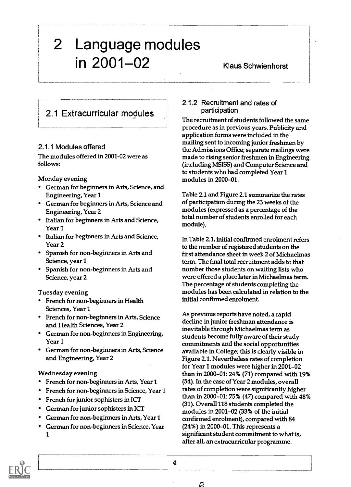# 2 Language modules in 2001-02 Klaus Schwienhorst

# 2.1 Extracurricular modules

#### 2.1.1 Modules offered

The modules offered in 2001-02 were as follows:

Monday evening

- German for beginners in Arts, Science, and Engineering, Year 1
- German for beginners in Arts, Science and Engineering, Year 2
- Italian for beginners in Arts and Science, Year 1
- Italian for beginners in Arts and Science, Year 2
- Spanish for non-beginners in Arts and Science, year 1
- Spanish for non-beginners in Arts and Science, year 2

Tuesday evening

- French for non-beginners in Health Sciences, Year 1
- French for non-beginners in Arts, Science and Health Sciences, Year 2
- German for non-beginners in Engineering, Year 1
- German for non-beginners in Arts, Science and Engineering, Year 2

Wednesday evening

- French for non-beginners in Arts, Year 1
- French for non-beginners in Science, Year 1
- French for junior sophisters in ICT
- German for junior sophisters in ICT
- German for non-beginners in Arts, Year 1
- German for non-beginners in Science, Year 1

#### 2.1.2 Recruitment and rates of participation

The recruitment of students followed the same procedure as in previous years. Publicity and application forms were included in the mailing sent to incoming junior freshmen by the Admissions Office; separate mailings were made to rising senior freshmen in Engineering (including MSISS) and Computer Science and to students who had completed Year 1 modules in 2000-01.

Table 2.1 and Figure 2.1 summarize the rates of participation during the 23 weeks of the modules (expressed as a percentage of the total number of students enrolled for each module).

In Table 2.1, initial confirmed enrolment refers to the number of registered students on the first attendance sheet in week 2 of Michaelmas term. The final total recruitment adds to that number those students on waiting lists who were offered a place later in Michaelmas term. The percentage of students completing the modules has been calculated in relation to the initial confirmed enrolment.

As previous reports have noted, a rapid decline in junior freshman attendance is inevitable through Michaelmas term as students become fully aware of their study commitments and the social opportunities available in College; this is clearly visible in Figure 2.1. Nevertheless rates of completion for Year 1 modules were higher in 2001-02 than in 2000-01: 24% (71) compared with 19% (54). In the case of Year 2 modules, overall rates of completion were significantly higher than in 2000-01: 75% (47) compared with 48% (31). Overall 118 students completed the modules in 2001-02 (33% of the initial confirmed enrolment), compared with 84 (24%) in 2000-01. This represents a significant student commitment to what is, after all, an extracurricular programme.



4

ි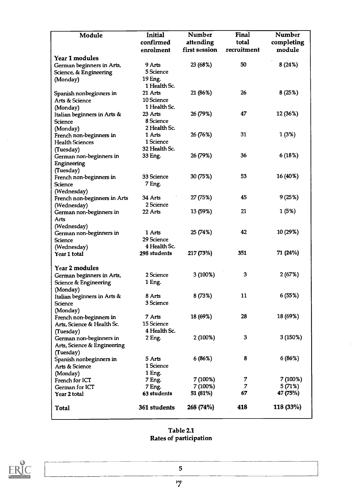| Module                           | Initial       | <b>Number</b> | Final       | <b>Number</b> |
|----------------------------------|---------------|---------------|-------------|---------------|
|                                  | confirmed     | attending     | total       | completing    |
|                                  | enrolment     | first session | recruitment | module        |
| Year 1 modules                   |               |               |             |               |
| German beginners in Arts,        | 9 Arts        | 23 (68%)      | 50          | 8 (24%)       |
| Science, & Engineering           | 5 Science     |               |             |               |
| (Monday)                         | 19 Eng.       |               |             |               |
|                                  | 1 Health Sc.  |               |             |               |
| Spanish nonbeginners in          | 21 Arts       | 21 (86%)      | 26          | 8(25%)        |
| Arts & Science                   | 10 Science    |               |             |               |
| (Monday)                         | 1 Health Sc.  |               |             |               |
| Italian beginners in Arts &      | 23 Arts       | 26 (79%)      | 47          | 12 (36%)      |
| <b>Science</b>                   | 8 Science     |               |             |               |
| (Monday)                         | 2 Health Sc.  |               |             |               |
| French non-beginners in          | 1 Arts        | 26 (76%)      | 31          | 1 (3%)        |
| <b>Health Sciences</b>           | 1 Science     |               |             |               |
| (Tuesday)                        | 32 Health Sc. |               |             |               |
| German non-beginners in          | 33 Eng.       | 26 (79%)      | 36          | 6(18%)        |
| Engineering                      |               |               |             |               |
| (Tuesday)                        |               |               |             |               |
| French non-beginners in          | 33 Science    | 30 (75%)      | 53          | 16 (40%)      |
| Science                          | 7 Eng.        |               |             |               |
| (Wednesday)                      |               |               |             |               |
| French non-beginners in Arts     | 34 Arts       | 27 (75%)      | 45          | 9(25%)        |
| (Wednesday)                      | 2 Science     |               |             |               |
| German non-beginners in          | 22 Arts       | 13 (59%)      | 21          | 1 (5%)        |
| Arts                             |               |               |             |               |
| (Wednesday)                      |               |               |             |               |
| German non-beginners in          | 1 Arts        | 25 (74%)      | 42          | 10 (29%)      |
| Science                          | 29 Science    |               |             |               |
| (Wednesday)                      | 4 Health Sc.  |               |             |               |
| Year 1 total                     | 298 students  | 217 (73%)     | 351         | 71 (24%)      |
|                                  |               |               |             |               |
| Year 2 modules                   |               |               |             |               |
| German beginners in Arts,        | 2 Science     | 3(100%)       | 3           | 2(67%)        |
| <b>Science &amp; Engineering</b> | 1 Eng.        |               |             |               |
| (Monday)                         |               |               |             |               |
| Italian beginners in Arts &      | 8 Arts        | 8 (73%)       | 11          | 6 (55%)       |
| Science                          | 3 Science     |               |             |               |
| (Monday)                         |               |               |             |               |
| French non-beginners in          | 7 Arts        | 18 (69%)      | 28          | 18 (69%)      |
| Arts, Science & Health Sc.       | 15 Science    |               |             |               |
| (Tuesday)                        | 4 Health Sc.  |               |             |               |
| German non-beginners in          | 2 Eng.        | 2 (100%)      | 3           | 3 (150%)      |
| Arts, Science & Engineering      |               |               |             |               |
| (Tuesday)                        |               |               |             |               |
| Spanish nonbeginners in          | 5 Arts        | 6 (86%)       | 8           | 6 (86%)       |
| Arts & Science                   | 1 Science     |               |             |               |
| (Monday)                         | 1 Eng.        |               |             |               |
| French for ICT                   | 7 Eng.        | 7 (100%)      | 7           | 7 (100%)      |
| German for ICT                   | 7 Eng.        | 7 (100%)      | 7           | 5 (71%)       |
| Year 2 total                     | 63 students   | 51 (81%)      | 67          | 47 (75%)      |
|                                  |               |               |             |               |
| Total                            | 361 students  | 268 (74%)     | 418         | 118 (33%)     |
|                                  |               |               |             |               |

#### Table 2.1 Rates of participation

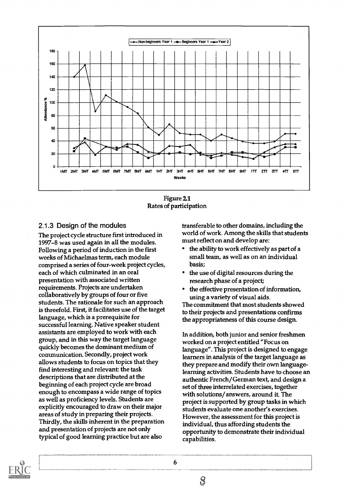

Figure 2.1 Rates of participation

#### 2.1.3 Design of the modules

The project cycle structure first introduced in 1997-8 was used again in all the modules. Following a period of induction in the first weeks of Michaelmas term, each module comprised a series of four-week project cycles, each of which culminated in an oral presentation with associated written requirements. Projects are undertaken collaboratively by groups of four or five students. The rationale for such an approach is threefold. First, it facilitates use of the target language, which is a prerequisite for successful learning. Native speaker student assistants are employed to work with each group, and in this way the target language quickly becomes the dominant medium of communication. Secondly, project work allows students to focus on topics that they find interesting and relevant: the task descriptions that are distributed at the beginning of each project cycle are broad enough to encompass a wide range of topics as well as proficiency levels. Students are explicitly encouraged to draw on their major areas of study in preparing their projects. Thirdly, the skills inherent in the preparation and presentation of projects are not only typical of good learning practice but are also

transferable to other domains, including the world of work. Among the skills that students must reflect on and develop are:

- the ability to work effectively as part of a small team, as well as on an individual basis;
- the use of digital resources during the research phase of a project;
- the effective presentation of information, using a variety of visual aids.

The commitment that most students showed to their projects and presentations confirms the appropriateness of this course design.

In addition, both junior and senior freshmen worked on a project entitled "Focus on language". This project is designed to engage learners in analysis of the target language as they prepare and modify their own languagelearning activities. Students have to choose an authentic French/German text, and design a set of three interrelated exercises, together with solutions/ answers, around it. The project is supported by group tasks in which students evaluate one another's exercises. However, the assessment for this project is individual, thus affording students the opportunity to demonstrate their individual capabilities.



 $\mathcal{S}% _{0}$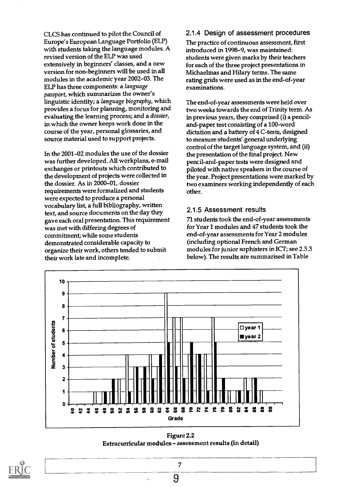CLCS has continued to pilot the Council of Europe's European Language Portfolio (ELP) with students taking the language modules. A revised version of the ELP was used extensively in beginners' classes, and a new version for non-beginners will be used in all modules in the academic year 2002-03. The ELP has three components: a language passport, which summarizes the owner's linguistic identity; a language biography, which provides a focus for planning, monitoring and evaluating the learning process; and a dossier, in which the owner keeps work done in the course of the year, personal glossaries, and source material used to support projects.

In the 2001-02 modules the use of the dossier was further developed. All workplans, e-mail exchanges or printouts which contributed to the development of projects were collected in the dossier. As in 2000-01, dossier requirements were formalized and students were expected to produce a personal vocabulary list, a full bibliography, written text, and source documents on the day they gave each oral presentation. This requirement was met with differing degrees of commitment; while some students demonstrated considerable capacity to organize their work, others tended to submit their work late and incomplete.

#### 2.1.4 Design of assessment procedures

The practice of continuous assessment, first introduced in 1998-9, was maintained: students were given marks by their teachers for each of the three project presentations in Michaelmas and Hilary terms. The same rating grids were used as in the end-of-year examinations.

The end-of-year assessments were held over two weeks towards the end of Trinity term. As in previous years, they comprised (i) a penciland-paper test consisting of a 100-word dictation and a battery of 4 C-tests, designed to measure students' general underlying control of the target language system, and (ii) the presentation of the final project. New pencil-and-paper tests were designed and piloted with native speakers in the course of the year. Project presentations were marked by two examiners working independently of each other.

#### 2.1.5 Assessment results

71 students took the end-of-year assessments for Year 1 modules and 47 students took the end-of-year assessments for Year 2 modules (including optional French and German modules for junior sophisters in ICT; see 2.3.3 below). The results are summarised in Table



Figure 2.2 Extracurricular modules - assessment results (in detail)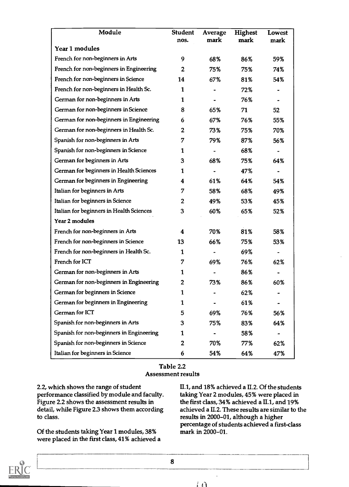| Module                                   | <b>Student</b><br>nos. | Average<br>mark | <b>Highest</b><br>mark | <b>Lowest</b><br>mark |
|------------------------------------------|------------------------|-----------------|------------------------|-----------------------|
| Year 1 modules                           |                        |                 |                        |                       |
| French for non-beginners in Arts         | 9                      | 68%             | 86%                    | 59%                   |
| French for non-beginners in Engineering  | $\mathbf{2}$           | 75%             | 75%                    | 74%                   |
| French for non-beginners in Science      | 14                     | 67%             | 81%                    | 54%                   |
| French for non-beginners in Health Sc.   | 1                      |                 | 72%                    |                       |
| German for non-beginners in Arts         | 1                      |                 | 76%                    |                       |
| German for non-beginners in Science      | 8                      | 65%             | 71                     | 52                    |
| German for non-beginners in Engineering  | 6                      | 67%             | 76%                    | 55%                   |
| German for non-beginners in Health Sc.   | $\mathbf{2}$           | 73%             | 75%                    | 70%                   |
| Spanish for non-beginners in Arts        | 7                      | 79%             | 87%                    | 56%                   |
| Spanish for non-beginners in Science     | 1                      |                 | 68%                    |                       |
| German for beginners in Arts             | 3                      | 68%             | 75%                    | 64%                   |
| German for beginners in Health Sciences  | 1                      |                 | 47%                    |                       |
| German for beginners in Engineering      | 4                      | 61%             | 64%                    | 54%                   |
| Italian for beginners in Arts            | 7                      | 58%             | 68%                    | 49%                   |
| Italian for beginners in Science         | 2                      | 49%             | 53%                    | 45%                   |
| Italian for beginners in Health Sciences | 3                      | 60%             | 65%                    | 52%                   |
| Year 2 modules                           |                        |                 |                        |                       |
| French for non-beginners in Arts         | 4                      | 70%             | 81%                    | 58%                   |
| French for non-beginners in Science      | 13                     | 66%             | 75%                    | 53%                   |
| French for non-beginners in Health Sc.   | 1                      |                 | 69%                    |                       |
| French for ICT                           | 7                      | 69%             | 76%                    | 62%                   |
| German for non-beginners in Arts         | 1                      |                 | 86%                    |                       |
| German for non-beginners in Engineering  | 2                      | 73%             | 86%                    | 60%                   |
| German for beginners in Science          | 1                      |                 | 62%                    |                       |
| German for beginners in Engineering      | 1                      |                 | 61%                    |                       |
| German for ICT                           | 5                      | 69%             | 76%                    | 56%                   |
| Spanish for non-beginners in Arts        | 3                      | 75%             | 83%                    | 64%                   |
| Spanish for non-beginners in Engineering | 1                      |                 | 58%                    |                       |
| Spanish for non-beginners in Science     | $\overline{2}$         | 70%             | 77%                    | 62%                   |
| Italian for beginners in Science         | 6                      | 54%             | 64%                    | 47%                   |

#### Table 2.2 Assessment results

2.2, which shows the range of student performance classified by module and faculty. Figure 2.2 shows the assessment results in detail, while Figure 2.3 shows them according to class.

Of the students taking Year 1 modules, 38% were placed in the first class, 41% achieved a II.1, and 18% achieved a II.2. Of the students taking Year 2 modules, 45% were placed in the first class, 34% achieved a II.1, and 19% achieved a II.2. These results are similar to the results in 2000-01, although a higher percentage of students achieved a first-class mark in 2000-01.



<u>ransmission</u>

8

まわ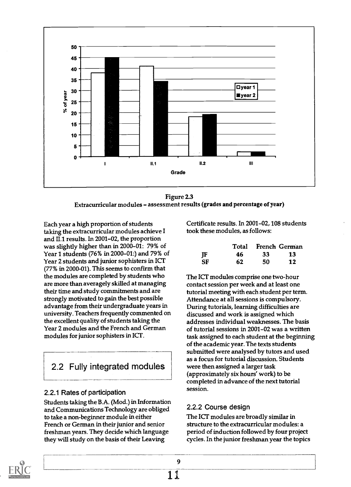

Figure 2.3 Extracurricular modules - assessment results (grades and percentage of year)

Each year a high proportion of students taking the extracurricular modules achieve I and II.1 results. In 2001-02, the proportion was slightly higher than in 2000-01: 79% of Year 1 students (76% in 2000-01:) and 79% of Year 2 students and junior sophisters in ICT (77% in 2000-01). This seems to confirm that the modules are completed by students who are more than averagely skilled at managing their time and study commitments and are strongly motivated to gain the best possible advantage from their undergraduate years in university. Teachers frequently commented on the excellent quality of students taking the Year 2 modules and the French and German modules for junior sophisters in ICT.

# 2.2 Fully integrated modules

#### 2.2.1 Rates of participation

Students taking the B.A. (Mod.) in Information and Communications Technology are obliged to take a non-beginner module in either French or German in their junior and senior freshman years. They decide which language they will study on the basis of their Leaving

Certificate results. In 2001-02, 108 students took these modules, as follows:

|    |     | Total French German |     |  |
|----|-----|---------------------|-----|--|
| JF | 46. | -33                 | -13 |  |
| SF | 62  | 50                  | 12  |  |

The ICT modules comprise one two-hour contact session per week and at least one tutorial meeting with each student per term. Attendance at all sessions is compulsory. During tutorials, learning difficulties are discussed and work is assigned which addresses individual weaknesses. The basis of tutorial sessions in 2001-02 was a written task assigned to each student at the beginning of the academic year. The texts students submitted were analysed by tutors and used as a focus for tutorial discussion. Students were then assigned a larger task (approximately six hours' work) to be completed in advance of the next tutorial session.

#### 2.2.2 Course design

The ICT modules are broadly similar in structure to the extracurricular modules: a period of induction followed by four project cycles. In the junior freshman year the topics

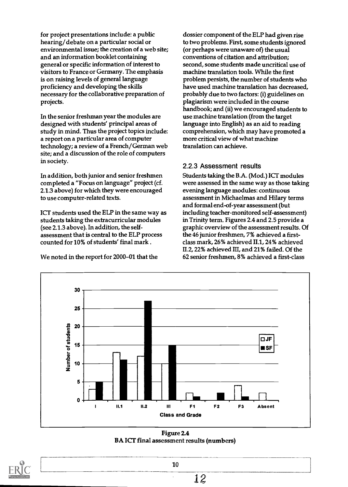for project presentations include: a public hearing/ debate on a particular social or environmental issue; the creation of a web site; and an information booklet containing general or specific information of interest to visitors to France or Germany. The emphasis is on raising levels of general language proficiency and developing the skills necessary for the collaborative preparation of projects.

In the senior freshman year the modules are designed with students' principal areas of study in mind. Thus the project topics include: a report on a particular area of computer technology; a review of a French/German web site; and a discussion of the role of computers in society.

In addition, both junior and senior freshmen completed a "Focus on language" project (cf. 2.1.3 above) for which they were encouraged to use computer-related texts.

ICT students used the ELP in the same way as students taking the extracurricular modules (see 2.1.3 above). In addition, the selfassessment that is central to the ELP process counted for 10% of students' final mark .

We noted in the report for 2000-01 that the

dossier component of the ELP had given rise to two problems. First, some students ignored (or perhaps were unaware of) the usual conventions of citation and attribution; second, some students made uncritical use of machine translation tools. While the first problem persists, the number of students who have used machine translation has decreased, probably due to two factors: (i) guidelines on plagiarism were included in the course handbook; and (ii) we encouraged students to use machine translation (from the target language into English) as an aid to reading comprehension, which may have promoted a more critical view of what machine translation can achieve.

#### 2.2.3 Assessment results

Students taking the B.A. (Mod.) ICT modules were assessed in the same way as those taking evening language modules: continuous assessment in Michaelmas and Hilary terms and formal end-of-year assessment (but including teacher-monitored self-assessment) in Trinity term. Figures 2.4 and 2.5 provide a graphic overview of the assessment results. Of the 46 junior freshmen, 7% achieved a firstclass mark, 26% achieved II.1, 24% achieved II.2, 22% achieved III, and 21% failed. Of the 62 senior freshmen, 8% achieved a first-class



Figure 2.4 BA ICT final assessment results (numbers)

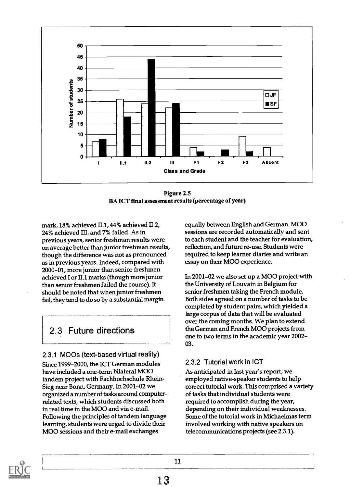

Figure 2.5 BA ICT final assessment results (percentage of year)

mark, 18% achieved II.1, 44% achieved II.2, 24% achieved III, and 7% failed. As in previous years, senior freshman results were on average better than junior freshman results, though the difference was not as pronounced as in previous years. Indeed, compared with 2000-01, more junior than senior freshmen achieved I or II.1 marks (though more junior than senior freshmen failed the course). It should be noted that when junior freshmen fail, they tend to do so by a substantial margin.

# 2.3 Future directions

#### 2.3.1 MOOs (text-based virtual reality)

Since 1999-2000, the ICT German modules have included a one-term bilateral MOO tandem project with Fachhochschule Rhein-Sieg near Bonn, Germany. In 2001-02 we organized a number of tasks around computerrelated texts, which students discussed both in real time in the MOO and via e-mail. Following the principles of tandem language learning, students were urged to divide their MOO sessions and their e-mail exchanges

equally between English and German. MOO sessions are recorded automatically and sent to each student and the teacher for evaluation, reflection, and future re-use. Students were required to keep learner diaries and write an essay on their MOO experience.

In 2001-02 we also set up a MOO project with the University of Louvain in Belgium for senior freshmen taking the French module. Both sides agreed on a number of tasks to be completed by student pairs, which yielded a large corpus of data that will be evaluated over the coming months. We plan to extend the German and French MOO projects from one to two terms in the academic year 2002- 03.

#### 2.3.2 Tutorial work in ICT

As anticipated in last year's report, we employed native-speaker students to help correct tutorial work. This comprised a variety of tasks that individual students were required to accomplish during the year, depending on their individual weaknesses. Some of the tutorial work in Michaelmas term involved working with native speakers on telecommunications projects (see 2.3.1).

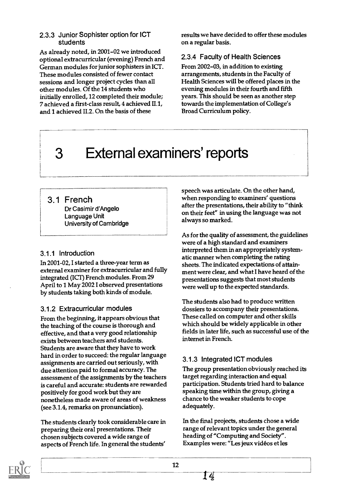#### 2.3.3 Junior Sophister option for ICT students

As already noted, in 2001-02 we introduced optional extracurricular (evening) French and German modules for junior sophisters in ICT. These modules consisted of fewer contact sessions and longer project cycles than all other modules. Of the 14 students who initially enrolled,12 completed their module; 7 achieved a first-class result, 4 achieved II.1, and 1 achieved 11.2. On the basis of these

results we have decided to offer these modules on a regular basis.

#### 2.3.4 Faculty of Health Sciences

From 2002-03, in addition to existing arrangements, students in the Faculty of Health Sciences will be offered places in the evening modules in their fourth and fifth years. This should be seen as another step towards the implementation of College's Broad Curriculum policy.

# 3 External examiners' reports

## 3.1 French

Dr Casimir d'Angelo Language Unit University of Cambridge

#### 3.1.1 Introduction

In 2001-02, I started a three-year term as external examiner for extracurricular and fully integrated (ICT) French modules. From 29 April to 1 May 2002 I observed presentations by students taking both kinds of module.

## 3.1.2 Extracurricular modules

From the beginning, it appears obvious that the teaching of the course is thorough and effective, and that a very good relationship exists between teachers and students. Students are aware that they have to work hard in order to succeed: the regular language assignments are carried out seriously, with due attention paid to formal accuracy. The assessment of the assignments by the teachers is careful and accurate: students are rewarded positively for good work but they are nonetheless made aware of areas of weakness (see 3.1.4, remarks on pronunciation).

The students clearly took considerable care in preparing their oral presentations. Their chosen subjects covered a wide range of aspects of French life. In general the students'

speech was articulate. On the other hand, when responding to examiners' questions after the presentations, their ability to "think on their feet" in using the language was not always so marked.

As for the quality of assessment, the guidelines were of a high standard and examiners interpreted them in an appropriately systematic manner when completing the rating sheets. The indicated expectations of attainment were clear, and what I have heard of the presentations suggests that most students were well up to the expected standards.

The students also had to produce written dossiers to accompany their presentations. These called on computer and other skills which should be widely applicable in other fields in later life, such as successful use of the internet in French.

## 3.1.3 Integrated ICT modules

The group presentation obviously reached its target regarding interaction and equal participation. Students tried hard to balance speaking time within the group, giving a chance to the weaker students to cope adequately.

In the final projects, students chose a wide range of relevant topics under the general heading of "Computing and Society". Examples were: "Les jeux videos et les

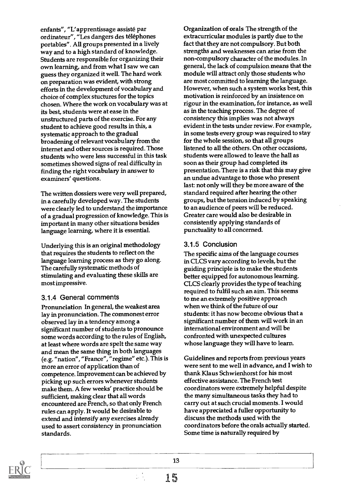enfants", "L'apprentissage assiste par ordinateur", "Les dangers des téléphones portables". All groups presented in a lively way and to a high standard of knowledge. Students are responsible for organizing their own learning, and from what I saw we can guess they organized it well. The hard work on preparation was evident, with strong efforts in the development of vocabulary and choice of complex stuctures for the topics chosen. Where the work on vocabulary was at its best, students were at ease in the unstructured parts of the exercise. For any student to achieve good results in this, a systematic approach to the gradual broadening of relevant vocabulary from the internet and other sources is required. Those students who were less successful in this task sometimes showed signs of real difficulty in finding the right vocabulary in answer to examiners' questions.

The written dossiers were very well prepared, in a carefully developed way. The students were clearly led to understand the importance of a gradual progression of knowledge. This is important in many other situations besides language learning, where it is essential.

Underlying this is an original methodology that requires the students to reflect on the language learning process as they go along. The carefully systematic methods of stimulating and evaluating these skills are most impressive.

#### 3.1.4 General comments

Pronunciation In general, the weakest area lay in pronunciation. The commonest error observed lay in a tendency among a significant number of students to pronounce some words according to the rules of English, at least where words are spelt the same way and mean the same thing in both languages (e.g. "nation", "France", "regime" etc.). This is more an error of application than of competence. Improvement can be achieved by picking up such errors whenever students make them. A few weeks' practice should be sufficient, making clear that all words encountered are French, so that only French rules can apply. It would be desirable to extend and intensify any exercises already used to assert consistency in pronunciation standards.

Organization of orals The strength of the extracurricular modules is partly due to the fact that they are not compulsory. But both strengths and weaknesses can arise from the non-compulsory character of the modules. In general, the lack of compulsion means that the module will attract only those students who are most committed to learning the language. However, when such a system works best, this motivation is reinforced by an insistence on rigour in the examination, for instance, as well as in the teaching process. The degree of consistency this implies was not always evident in the tests under review. For example, in some tests every group was required to stay for the whole session, so that all groups listened to all the others. On other occasions, students were allowed to leave the hall as soon as their group had completed its presentation. There is a risk that this may give an undue advantage to those who present last: not only will they be more aware of the standard required after hearing the other groups, but the tension induced by speaking to an audience of peers will be reduced. Greater care would also be desirable in consistently applying standards of punctuality to all concerned.

#### 3.1.5 Conclusion

The specific aims of the language courses in CLCS vary according to levels, but the guiding principle is to make the students better equipped for autonomous learning. CLCS clearly provides the type of teaching required to fulfil such an aim. This seems to me an extremely positive approach when we think of the future of our students: it has now become obvious that a significant number of them will work in an international environment and will be confronted with unexpected cultures whose language they will have to learn.

Guidelines and reports from previous years were sent to me well in advance, and I wish to thank Klaus Schwienhorst for his most effective assistance. The French test coordinators were extremely helpful despite the many simultaneous tasks they had to carry out at such crucial moments. I would have appreciated a fuller opportunity to discuss the methods used with the coordinators before the orals actually started. Some time is naturally required by

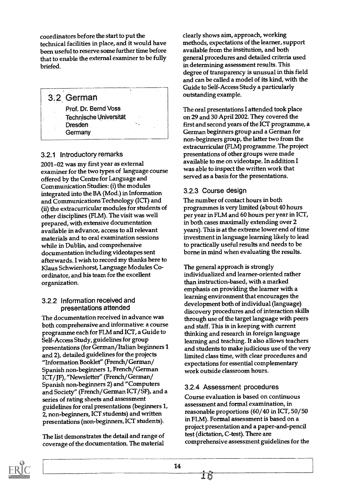coordinators before the start to put the technical facilities in place, and it would have been useful to reserve some further time before that to enable the external examiner to be fully briefed.

3.2 German Prof. Dr. Bernd Voss Technische Universitat Dresden **Germany** 

#### 3.2.1 Introductory remarks

2001-02 was my first year as external examiner for the two types of language course offered by the Centre for Language and Communication Studies: (i) the modules integrated into the BA (Mod.) in Information and Communications Technology (ICT) and (ii) the extracurricular modules for students of other disciplines (FLM). The visit was well prepared, with extensive documentation available in advance, access to all relevant materials and to oral examination sessions while in Dublin, and comprehensive documentation including videotapes sent afterwards. I wish to record my thanks here to Klaus Schwienhorst, Language Modules Coordinator, and his team for the excellent organization.

#### 3.2.2 Information received and presentations attended

The documentation received in advance was both comprehensive and informative: a course programme each for FLM and ICT, a Guide to Self-Access Study, guidelines for group presentations (for German/Italian beginners 1 and 2), detailed guidelines for the projects "Information Booklet" (French/German/ Spanish non-beginners 1, French/German ICT/JF), "Newsletter" (French/German/ Spanish non-beginners 2) and "Computers and Society" (French/German ICT/SF), and a series of rating sheets and assessment guidelines for oral presentations (beginners 1, 2, non-beginners, ICT students) and written presentations (non-beginners, ICT students).

The list demonstrates the detail and range of coverage of the documentation. The material clearly shows aim, approach, working methods, expectations of the learner, support available from the institution, and both general procedures and detailed criteria used in determining assessment results. This degree of transparency is unusual in this field and can be called a model of its kind, with the Guide to Self-Access Study a particularly outstanding example.

The oral presentations I attended took place on 29 and 30 April 2002. They covered the first and second years of the ICT programme, a German beginners group and a German for non-beginners group, the latter two from the extracurricular (FLM) programme. The project presentations of other groups were made available to me on videotape. In addition I was able to inspect the written work that served as a basis for the presentations.

#### 3.2.3 Course design

The number of contact hours in both programmes is very limited (about 40 hours per year in FLM and 60 hours per year in ICT, in both cases maximally extending over 2 years). This is at the extreme lower end of time investment in language learning likely to lead to practically useful results and needs to be borne in mind when evaluating the results.

The general approach is strongly individualized and learner-oriented rather than instruction-based, with a marked emphasis on providing the learner with a learning environment that encourages the development both of individual (language) discovery procedures and of interaction skills through use of the target language with peers and staff. This is in keeping with current thinking and research in foreign language learning and teaching. It also allows teachers and students to make judicious use of the very limited class time, with clear procedures and expectations for essential complementary work outside classroom hours.

#### 3.2.4 Assessment procedures

Course evaluation is based on continuous assessment and formal examination, in reasonable proportions (60/40 in ICT, 50/50 in FLM). Formal assessment is based on a project presentation and a paper-and-pencil test (dictation, C-test). There are comprehensive assessment guidelines for the

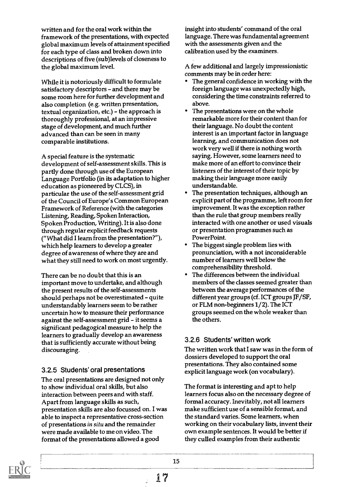written and for the oral work within the framework of the presentations, with expected global maximum levels of attainment specified for each type of class and broken down into descriptions of five (sub)levels of closeness to the global maximum level.

While it is notoriously difficult to formulate satisfactory descriptors - and there may be some room here for further development and also completion (e.g. written presentation, textual organization,  $etc.$ ) – the approach is thoroughly professional, at an impressive stage of development, and much further advanced than can be seen in many comparable institutions.

A special feature is the systematic development of self-assessment skills. This is partly done through use of the European Language Portfolio (in its adaptation to higher education as pioneered by CLCS), in particular the use of the self-assessment grid of the Council of Europe's Common European Framework of Reference (with the categories Listening, Reading, Spoken Interaction, Spoken Production, Writing). It is also done through regular explicit feedback requests ("What did I learn from the presentation?"), which help learners to develop a greater degree of awareness of where they are and what they still need to work on most urgently.

There can be no doubt that this is an important move to undertake, and although the present results of the self-assessments should perhaps not be overestimated - quite understandably learners seem to be rather uncertain how to measure their performance against the self-assessment grid - it seems a significant pedagogical measure to help the learners to gradually develop an awareness that is sufficiently accurate without being discouraging.

#### 3.2.5 Students' oral presentations

The oral presentations are designed not only to show individual oral skills, but also interaction between peers and with staff. Apart from language skills as such, presentation skills are also focussed on. I was able to inspect a representative cross-section of presentations in situ and the remainder were made available to me on video. The format of the presentations allowed a good

insight into students' command of the oral language. There was fundamental agreement with the assessments given and the calibration used by the examiners.

A few additional and largely impressionistic comments may be in order here:

- The general confidence in working with the foreign language was unexpectedly high, considering the time constraints referred to above.
- The presentations were on the whole remarkable more for their content than for their language. No doubt the content interest is an important factor in language learning, and communication does not work very well if there is nothing worth saying. However, some learners need to make more of an effort to convince their listeners of the interest of their topic by making their language more easily understandable.
- The presentation techniques, although an explicit part of the programme, left room for improvement. It was the exception rather than the rule that group members really interacted with one another or used visuals or presentation programmes such as PowerPoint.
- The biggest single problem lies with pronunciation, with a not inconsiderable number of learners well below the comprehensibility threshold.
- The differences between the individual members of the classes seemed greater than between the average performances of the different year groups (cf. ICT groups JF/SF, or FLM non-beginners 1/2). The ICT groups seemed on the whole weaker than the others.

#### 3.2.6 Students' written work

The written work that I saw was in the form of dossiers developed to support the oral presentations. They also contained some explicit language work (on vocabulary).

The format is interesting and apt to help learners focus also on the necessary degree of formal accuracy. Inevitably, not all learners make sufficient use of a sensible format, and the standard varies. Some learners, when working on their vocabulary lists, invent their own example sentences. It would be better if they culled examples from their authentic

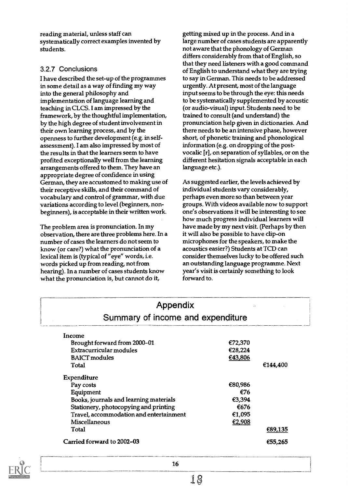reading material, unless staff can systematically correct examples invented by students.

#### 3.2.7 Conclusions

I have described the set-up of the programmes in some detail as a way of finding my way into the general philosophy and implementation of language learning and teaching in CLCS. I am impressed by the framework, by the thoughtful implementation, by the high degree of student involvement in their own learning process, and by the openness to further development (e.g. in selfassessment). I am also impressed by most of the results in that the learners seem to have profited exceptionally well from the learning arrangements offered to them. They have an appropriate degree of confidence in using German, they are accustomed to making use of their receptive skills, and their command of vocabulary and control of grammar, with due variations according to level (beginners, nonbeginners), is acceptable in their written work.

The problem area is pronunciation. In my observation, there are three problems here. In a number of cases the learners do not seem to know (or care?) what the pronunciation of a lexical item is (typical of "eye" words, i.e. words picked up from reading, not from hearing). In a number of cases students know what the pronunciation is, but cannot do it,

getting mixed up in the process. And in a large number of cases students are apparently not aware that the phonology of German differs considerably from that of English, so that they need listeners with a good command of English to understand what they are trying to say in German. This needs to be addressed urgently. At present, most of the language input seems to be through the eye: this needs to be systematically supplemented by acoustic (or audio-visual) input. Students need to be trained to consult (and understand) the pronunciation help given in dictionaries. And there needs to be an intensive phase, however short, of phonetic training and phonological information (e.g. on dropping of the postvocalic [r], on separation of syllables, or on the different hesitation signals acceptable in each language etc.).

As suggested earlier, the levels achieved by individual students vary considerably, perhaps even more so than between year groups. With videos available now to support one's observations it will be interesting to see how much progress individual learners will have made by my next visit. (Perhaps by then it will also be possible to have clip-on microphones for the speakers, to make the acoustics easier?) Students at TCD can consider themselves lucky to be offered such an outstanding language programme. Next year's visit is certainly something to look forward to.

| Summary of income and expenditure |          |  |  |
|-----------------------------------|----------|--|--|
|                                   |          |  |  |
| €72,370                           |          |  |  |
| €28,224                           |          |  |  |
| €43,806                           |          |  |  |
|                                   | €144,400 |  |  |
|                                   |          |  |  |
| €80,986                           |          |  |  |
| €76                               |          |  |  |
| €3,394                            |          |  |  |
| €676                              |          |  |  |
| €1,095                            |          |  |  |
| €2,908                            |          |  |  |
|                                   | €89,135  |  |  |
|                                   |          |  |  |